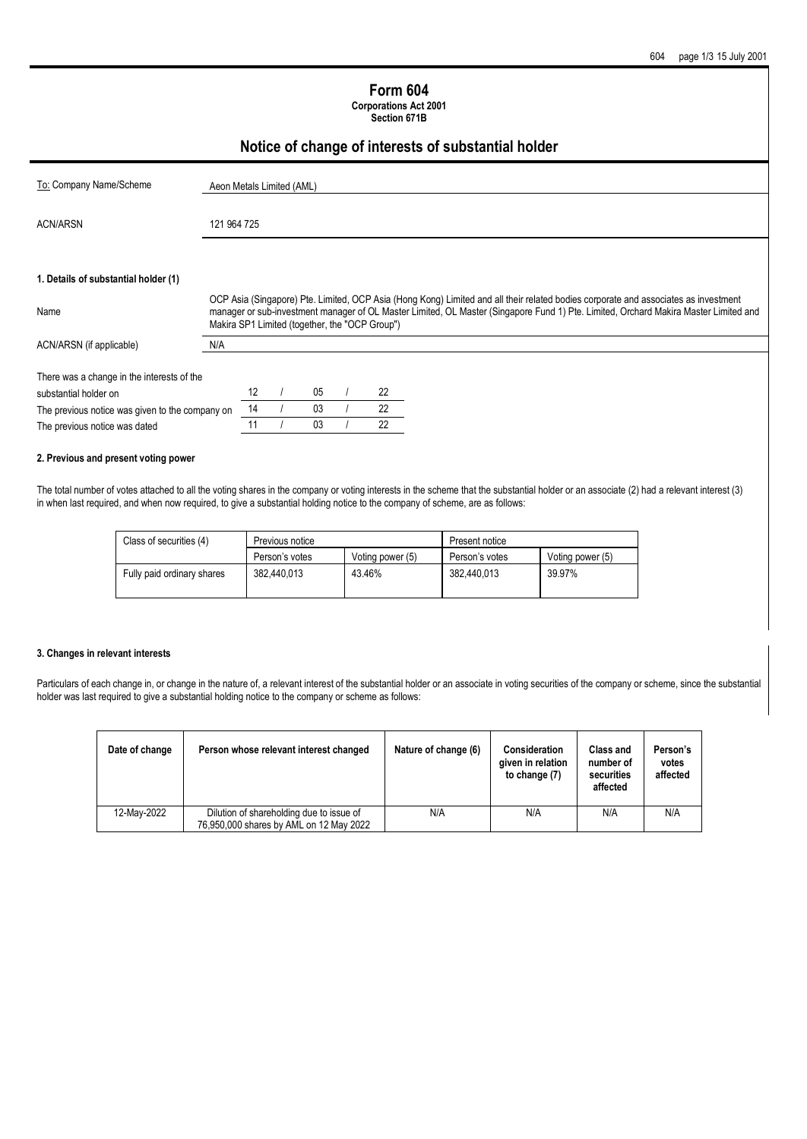#### **Form 604 Corporations Act 2001**

**Section 671B**

# **Notice of change of interests of substantial holder**

| To: Company Name/Scheme                                                          | Aeon Metals Limited (AML) |    |  |          |  |                                                |                                                                                                                                                                                                                                                                             |
|----------------------------------------------------------------------------------|---------------------------|----|--|----------|--|------------------------------------------------|-----------------------------------------------------------------------------------------------------------------------------------------------------------------------------------------------------------------------------------------------------------------------------|
|                                                                                  |                           |    |  |          |  |                                                |                                                                                                                                                                                                                                                                             |
| <b>ACN/ARSN</b>                                                                  | 121 964 725               |    |  |          |  |                                                |                                                                                                                                                                                                                                                                             |
|                                                                                  |                           |    |  |          |  |                                                |                                                                                                                                                                                                                                                                             |
| 1. Details of substantial holder (1)                                             |                           |    |  |          |  |                                                |                                                                                                                                                                                                                                                                             |
| Name                                                                             |                           |    |  |          |  | Makira SP1 Limited (together, the "OCP Group") | OCP Asia (Singapore) Pte. Limited, OCP Asia (Hong Kong) Limited and all their related bodies corporate and associates as investment<br>manager or sub-investment manager of OL Master Limited, OL Master (Singapore Fund 1) Pte. Limited, Orchard Makira Master Limited and |
| ACN/ARSN (if applicable)                                                         | N/A                       |    |  |          |  |                                                |                                                                                                                                                                                                                                                                             |
| There was a change in the interests of the                                       |                           |    |  |          |  | 22                                             |                                                                                                                                                                                                                                                                             |
| substantial holder on                                                            |                           | 12 |  | 05<br>03 |  | 22                                             |                                                                                                                                                                                                                                                                             |
| The previous notice was given to the company on<br>The previous notice was dated |                           | 14 |  |          |  |                                                |                                                                                                                                                                                                                                                                             |
|                                                                                  |                           | 11 |  | 03       |  | 22                                             |                                                                                                                                                                                                                                                                             |

#### **2. Previous and present voting power**

The total number of votes attached to all the voting shares in the company or voting interests in the scheme that the substantial holder or an associate (2) had a relevant interest (3) in when last required, and when now required, to give a substantial holding notice to the company of scheme, are as follows:

| Class of securities (4)    | Previous notice |                  | Present notice |                  |  |
|----------------------------|-----------------|------------------|----------------|------------------|--|
|                            | Person's votes  | Voting power (5) | Person's votes | Voting power (5) |  |
| Fully paid ordinary shares | 382.440.013     | 43.46%           | 382.440.013    | 39.97%           |  |

#### **3. Changes in relevant interests**

Particulars of each change in, or change in the nature of, a relevant interest of the substantial holder or an associate in voting securities of the company or scheme, since the substantial holder was last required to give a substantial holding notice to the company or scheme as follows:

| Date of change | Person whose relevant interest changed                                              | Nature of change (6) | <b>Consideration</b><br>given in relation<br>to change (7) | <b>Class and</b><br>number of<br>securities<br>affected | Person's<br>votes<br>affected |
|----------------|-------------------------------------------------------------------------------------|----------------------|------------------------------------------------------------|---------------------------------------------------------|-------------------------------|
| 12-Mav-2022    | Dilution of shareholding due to issue of<br>76,950,000 shares by AML on 12 May 2022 | N/A                  | N/A                                                        | N/A                                                     | N/A                           |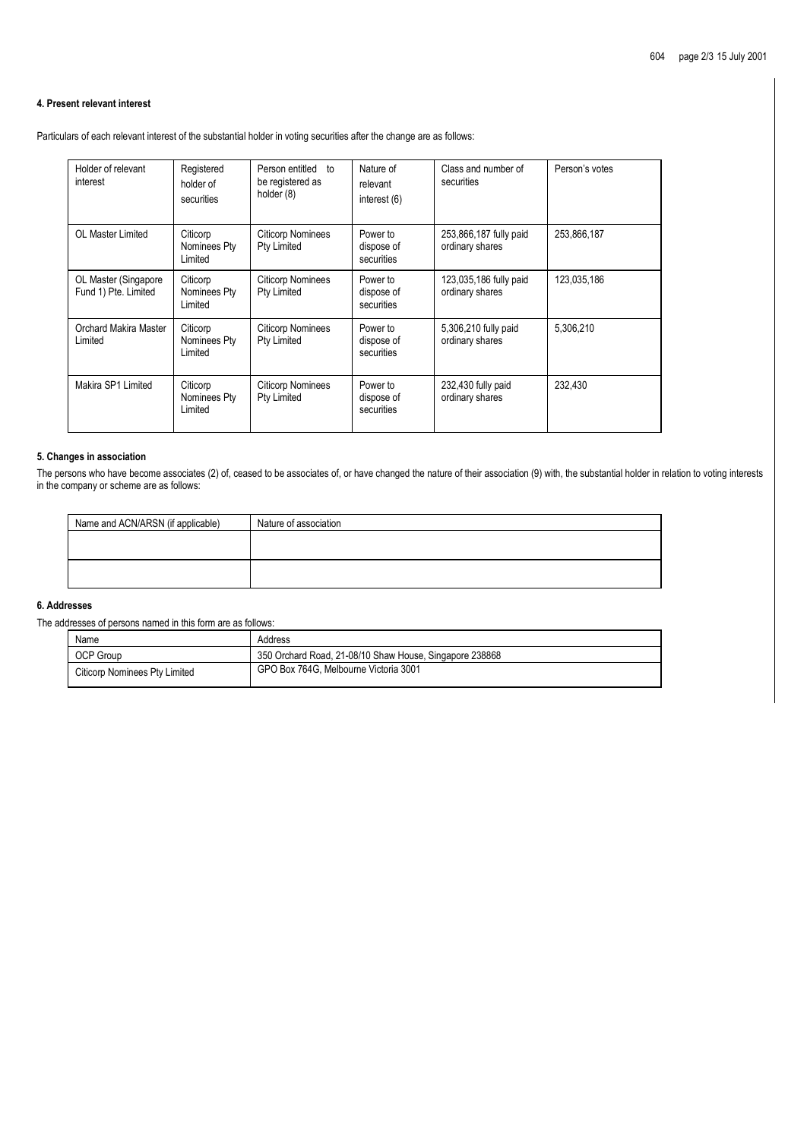#### **4. Present relevant interest**

Particulars of each relevant interest of the substantial holder in voting securities after the change are as follows:

| Holder of relevant<br>interest               | Registered<br>holder of<br>securities | Person entitled<br>to<br>be registered as<br>holder (8) | Nature of<br>relevant<br>interest (6) | Class and number of<br>securities         | Person's votes |
|----------------------------------------------|---------------------------------------|---------------------------------------------------------|---------------------------------------|-------------------------------------------|----------------|
| OL Master Limited                            | Citicorp<br>Nominees Pty<br>Limited   | <b>Citicorp Nominees</b><br>Pty Limited                 | Power to<br>dispose of<br>securities  | 253,866,187 fully paid<br>ordinary shares | 253,866,187    |
| OL Master (Singapore<br>Fund 1) Pte. Limited | Citicorp<br>Nominees Pty<br>Limited   | <b>Citicorp Nominees</b><br>Pty Limited                 | Power to<br>dispose of<br>securities  | 123,035,186 fully paid<br>ordinary shares | 123,035,186    |
| Orchard Makira Master<br>Limited             | Citicorp<br>Nominees Pty<br>Limited   | <b>Citicorp Nominees</b><br>Pty Limited                 | Power to<br>dispose of<br>securities  | 5,306,210 fully paid<br>ordinary shares   | 5,306,210      |
| Makira SP1 Limited                           | Citicorp<br>Nominees Pty<br>Limited   | <b>Citicorp Nominees</b><br>Pty Limited                 | Power to<br>dispose of<br>securities  | 232,430 fully paid<br>ordinary shares     | 232,430        |

## **5. Changes in association**

The persons who have become associates (2) of, ceased to be associates of, or have changed the nature of their association (9) with, the substantial holder in relation to voting interests in the company or scheme are as follows:

| Name and ACN/ARSN (if applicable) | Nature of association |
|-----------------------------------|-----------------------|
|                                   |                       |
|                                   |                       |
|                                   |                       |
|                                   |                       |

# **6. Addresses**

The addresses of persons named in this form are as follows:

| Name                          | Address                                                 |
|-------------------------------|---------------------------------------------------------|
| OCP Group                     | 350 Orchard Road, 21-08/10 Shaw House, Singapore 238868 |
| Citicorp Nominees Pty Limited | GPO Box 764G. Melbourne Victoria 3001                   |